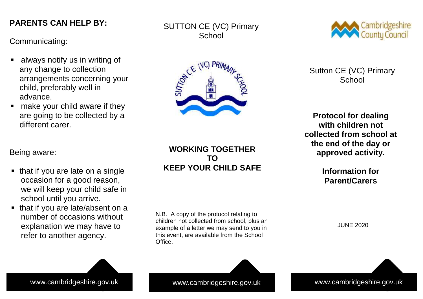# **PARENTS CAN HELP BY: PARENTS CAN HELP BY:**

Communicating: Communicating:

- $\blacksquare$  always notify us in writing of any change to collection any change to collection arrangements concerning your arrangements concerning your child, preferably well in advance. advance.
- $\blacksquare$  make your child aware if they are going to be collected by a are going to be collected by a different carer. different carer.

Being aware: Being aware:

- $\blacksquare$  that if you are late on a single occasion for a good reason, we will keep your child safe in school until you arrive. school until you arrive.
- $\blacksquare$  that if you are late/absent on a number of occasions without explanation we may have to refer to another agency. refer to another agency.

SUTTON CE (VC) Primary **School** 



**WORKING TOGETHER TO KEEP YOUR CHILD SAFE**

N.B. A copy of the protocol relating to children not collected from school, plus an example of a letter we may send to you in this event, are available from the School Office.



Sutton CE (VC) Primary **School** 

**Protocol for dealing with children not collected from school at the end of the day or approved activity.**

> **Information for Parent/Carers**

> > JUNE 2020

www.cambridgeshire.gov.uk www.cambridgeshire.gov.uk www.cambridgeshire.gov.uk